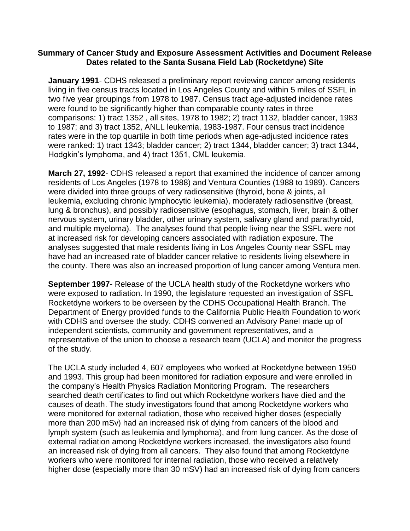## **Summary of Cancer Study and Exposure Assessment Activities and Document Release Dates related to the Santa Susana Field Lab (Rocketdyne) Site**

**January 1991**- CDHS released a preliminary report reviewing cancer among residents living in five census tracts located in Los Angeles County and within 5 miles of SSFL in two five year groupings from 1978 to 1987. Census tract age-adjusted incidence rates were found to be significantly higher than comparable county rates in three comparisons: 1) tract 1352 , all sites, 1978 to 1982; 2) tract 1132, bladder cancer, 1983 to 1987; and 3) tract 1352, ANLL leukemia, 1983-1987. Four census tract incidence rates were in the top quartile in both time periods when age-adjusted incidence rates were ranked: 1) tract 1343; bladder cancer; 2) tract 1344, bladder cancer; 3) tract 1344, Hodgkin's lymphoma, and 4) tract 1351, CML leukemia.

**March 27, 1992**- CDHS released a report that examined the incidence of cancer among residents of Los Angeles (1978 to 1988) and Ventura Counties (1988 to 1989). Cancers were divided into three groups of very radiosensitive (thyroid, bone & joints, all leukemia, excluding chronic lymphocytic leukemia), moderately radiosensitive (breast, lung & bronchus), and possibly radiosensitive (esophagus, stomach, liver, brain & other nervous system, urinary bladder, other urinary system, salivary gland and parathyroid, and multiple myeloma). The analyses found that people living near the SSFL were not at increased risk for developing cancers associated with radiation exposure. The analyses suggested that male residents living in Los Angeles County near SSFL may have had an increased rate of bladder cancer relative to residents living elsewhere in the county. There was also an increased proportion of lung cancer among Ventura men.

**September 1997**- Release of the UCLA health study of the Rocketdyne workers who were exposed to radiation. In 1990, the legislature requested an investigation of SSFL Rocketdyne workers to be overseen by the CDHS Occupational Health Branch. The Department of Energy provided funds to the California Public Health Foundation to work with CDHS and oversee the study. CDHS convened an Advisory Panel made up of independent scientists, community and government representatives, and a representative of the union to choose a research team (UCLA) and monitor the progress of the study.

The UCLA study included 4, 607 employees who worked at Rocketdyne between 1950 and 1993. This group had been monitored for radiation exposure and were enrolled in the company's Health Physics Radiation Monitoring Program. The researchers searched death certificates to find out which Rocketdyne workers have died and the causes of death. The study investigators found that among Rocketdyne workers who were monitored for external radiation, those who received higher doses (especially more than 200 mSv) had an increased risk of dying from cancers of the blood and lymph system (such as leukemia and lymphoma), and from lung cancer. As the dose of external radiation among Rocketdyne workers increased, the investigators also found an increased risk of dying from all cancers. They also found that among Rocketdyne workers who were monitored for internal radiation, those who received a relatively higher dose (especially more than 30 mSV) had an increased risk of dying from cancers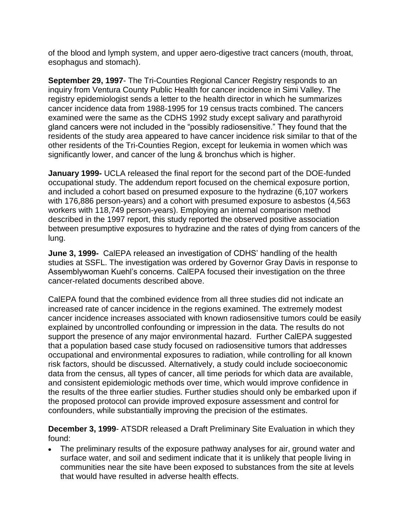of the blood and lymph system, and upper aero-digestive tract cancers (mouth, throat, esophagus and stomach).

**September 29, 1997**- The Tri-Counties Regional Cancer Registry responds to an inquiry from Ventura County Public Health for cancer incidence in Simi Valley. The registry epidemiologist sends a letter to the health director in which he summarizes cancer incidence data from 1988-1995 for 19 census tracts combined. The cancers examined were the same as the CDHS 1992 study except salivary and parathyroid gland cancers were not included in the "possibly radiosensitive." They found that the residents of the study area appeared to have cancer incidence risk similar to that of the other residents of the Tri-Counties Region, except for leukemia in women which was significantly lower, and cancer of the lung & bronchus which is higher.

**January 1999-** UCLA released the final report for the second part of the DOE-funded occupational study. The addendum report focused on the chemical exposure portion, and included a cohort based on presumed exposure to the hydrazine (6,107 workers with 176,886 person-years) and a cohort with presumed exposure to asbestos (4,563 workers with 118,749 person-years). Employing an internal comparison method described in the 1997 report, this study reported the observed positive association between presumptive exposures to hydrazine and the rates of dying from cancers of the lung.

**June 3, 1999-** CalEPA released an investigation of CDHS' handling of the health studies at SSFL. The investigation was ordered by Governor Gray Davis in response to Assemblywoman Kuehl's concerns. CalEPA focused their investigation on the three cancer-related documents described above.

CalEPA found that the combined evidence from all three studies did not indicate an increased rate of cancer incidence in the regions examined. The extremely modest cancer incidence increases associated with known radiosensitive tumors could be easily explained by uncontrolled confounding or impression in the data. The results do not support the presence of any major environmental hazard. Further CalEPA suggested that a population based case study focused on radiosensitive tumors that addresses occupational and environmental exposures to radiation, while controlling for all known risk factors, should be discussed. Alternatively, a study could include socioeconomic data from the census, all types of cancer, all time periods for which data are available, and consistent epidemiologic methods over time, which would improve confidence in the results of the three earlier studies. Further studies should only be embarked upon if the proposed protocol can provide improved exposure assessment and control for confounders, while substantially improving the precision of the estimates.

**December 3, 1999**- ATSDR released a Draft Preliminary Site Evaluation in which they found:

The preliminary results of the exposure pathway analyses for air, ground water and surface water, and soil and sediment indicate that it is unlikely that people living in communities near the site have been exposed to substances from the site at levels that would have resulted in adverse health effects.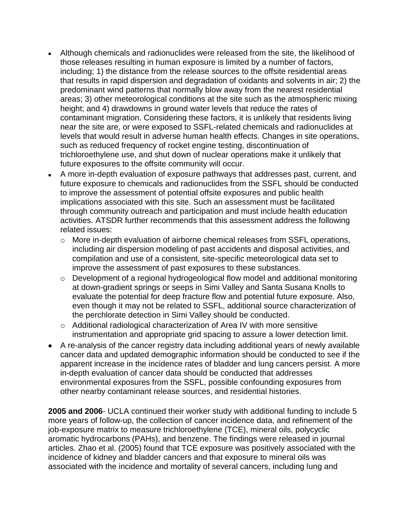- Although chemicals and radionuclides were released from the site, the likelihood of those releases resulting in human exposure is limited by a number of factors, including; 1) the distance from the release sources to the offsite residential areas that results in rapid dispersion and degradation of oxidants and solvents in air; 2) the predominant wind patterns that normally blow away from the nearest residential areas; 3) other meteorological conditions at the site such as the atmospheric mixing height; and 4) drawdowns in ground water levels that reduce the rates of contaminant migration. Considering these factors, it is unlikely that residents living near the site are, or were exposed to SSFL-related chemicals and radionuclides at levels that would result in adverse human health effects. Changes in site operations, such as reduced frequency of rocket engine testing, discontinuation of trichloroethylene use, and shut down of nuclear operations make it unlikely that future exposures to the offsite community will occur.
- A more in-depth evaluation of exposure pathways that addresses past, current, and future exposure to chemicals and radionuclides from the SSFL should be conducted to improve the assessment of potential offsite exposures and public health implications associated with this site. Such an assessment must be facilitated through community outreach and participation and must include health education activities. ATSDR further recommends that this assessment address the following related issues:
	- o More in-depth evaluation of airborne chemical releases from SSFL operations, including air dispersion modeling of past accidents and disposal activities, and compilation and use of a consistent, site-specific meteorological data set to improve the assessment of past exposures to these substances.
	- o Development of a regional hydrogeological flow model and additional monitoring at down-gradient springs or seeps in Simi Valley and Santa Susana Knolls to evaluate the potential for deep fracture flow and potential future exposure. Also, even though it may not be related to SSFL, additional source characterization of the perchlorate detection in Simi Valley should be conducted.
	- o Additional radiological characterization of Area IV with more sensitive instrumentation and appropriate grid spacing to assure a lower detection limit.
- A re-analysis of the cancer registry data including additional years of newly available cancer data and updated demographic information should be conducted to see if the apparent increase in the incidence rates of bladder and lung cancers persist. A more in-depth evaluation of cancer data should be conducted that addresses environmental exposures from the SSFL, possible confounding exposures from other nearby contaminant release sources, and residential histories.

**2005 and 2006**- UCLA continued their worker study with additional funding to include 5 more years of follow-up, the collection of cancer incidence data, and refinement of the job-exposure matrix to measure trichloroethylene (TCE), mineral oils, polycyclic aromatic hydrocarbons (PAHs), and benzene. The findings were released in journal articles. Zhao et al. (2005) found that TCE exposure was positively associated with the incidence of kidney and bladder cancers and that exposure to mineral oils was associated with the incidence and mortality of several cancers, including lung and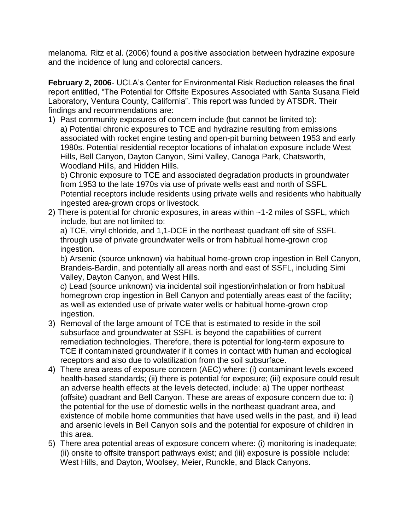melanoma. Ritz et al. (2006) found a positive association between hydrazine exposure and the incidence of lung and colorectal cancers.

**February 2, 2006**- UCLA's Center for Environmental Risk Reduction releases the final report entitled, "The Potential for Offsite Exposures Associated with Santa Susana Field Laboratory, Ventura County, California". This report was funded by ATSDR. Their findings and recommendations are:

1) Past community exposures of concern include (but cannot be limited to): a) Potential chronic exposures to TCE and hydrazine resulting from emissions associated with rocket engine testing and open-pit burning between 1953 and early 1980s. Potential residential receptor locations of inhalation exposure include West Hills, Bell Canyon, Dayton Canyon, Simi Valley, Canoga Park, Chatsworth, Woodland Hills, and Hidden Hills.

b) Chronic exposure to TCE and associated degradation products in groundwater from 1953 to the late 1970s via use of private wells east and north of SSFL. Potential receptors include residents using private wells and residents who habitually ingested area-grown crops or livestock.

2) There is potential for chronic exposures, in areas within ~1-2 miles of SSFL, which include, but are not limited to:

a) TCE, vinyl chloride, and 1,1-DCE in the northeast quadrant off site of SSFL through use of private groundwater wells or from habitual home-grown crop ingestion.

b) Arsenic (source unknown) via habitual home-grown crop ingestion in Bell Canyon, Brandeis-Bardin, and potentially all areas north and east of SSFL, including Simi Valley, Dayton Canyon, and West Hills.

c) Lead (source unknown) via incidental soil ingestion/inhalation or from habitual homegrown crop ingestion in Bell Canyon and potentially areas east of the facility; as well as extended use of private water wells or habitual home-grown crop ingestion.

- 3) Removal of the large amount of TCE that is estimated to reside in the soil subsurface and groundwater at SSFL is beyond the capabilities of current remediation technologies. Therefore, there is potential for long-term exposure to TCE if contaminated groundwater if it comes in contact with human and ecological receptors and also due to volatilization from the soil subsurface.
- 4) There area areas of exposure concern (AEC) where: (i) contaminant levels exceed health-based standards; (ii) there is potential for exposure; (iii) exposure could result an adverse health effects at the levels detected, include: a) The upper northeast (offsite) quadrant and Bell Canyon. These are areas of exposure concern due to: i) the potential for the use of domestic wells in the northeast quadrant area, and existence of mobile home communities that have used wells in the past, and ii) lead and arsenic levels in Bell Canyon soils and the potential for exposure of children in this area.
- 5) There area potential areas of exposure concern where: (i) monitoring is inadequate; (ii) onsite to offsite transport pathways exist; and (iii) exposure is possible include: West Hills, and Dayton, Woolsey, Meier, Runckle, and Black Canyons.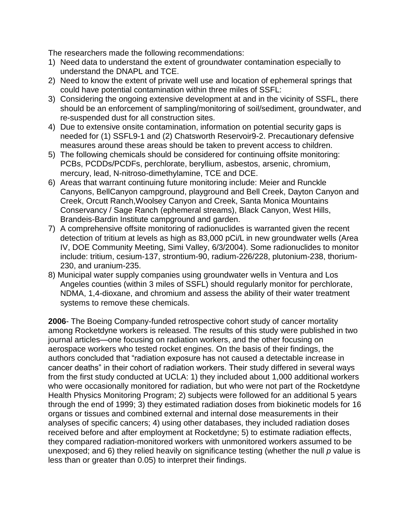The researchers made the following recommendations:

- 1) Need data to understand the extent of groundwater contamination especially to understand the DNAPL and TCE.
- 2) Need to know the extent of private well use and location of ephemeral springs that could have potential contamination within three miles of SSFL:
- 3) Considering the ongoing extensive development at and in the vicinity of SSFL, there should be an enforcement of sampling/monitoring of soil/sediment, groundwater, and re-suspended dust for all construction sites.
- 4) Due to extensive onsite contamination, information on potential security gaps is needed for (1) SSFL9-1 and (2) Chatsworth Reservoir9-2. Precautionary defensive measures around these areas should be taken to prevent access to children.
- 5) The following chemicals should be considered for continuing offsite monitoring: PCBs, PCDDs/PCDFs, perchlorate, beryllium, asbestos, arsenic, chromium, mercury, lead, N-nitroso-dimethylamine, TCE and DCE.
- 6) Areas that warrant continuing future monitoring include: Meier and Runckle Canyons, BellCanyon campground, playground and Bell Creek, Dayton Canyon and Creek, Orcutt Ranch,Woolsey Canyon and Creek, Santa Monica Mountains Conservancy / Sage Ranch (ephemeral streams), Black Canyon, West Hills, Brandeis-Bardin Institute campground and garden.
- 7) A comprehensive offsite monitoring of radionuclides is warranted given the recent detection of tritium at levels as high as 83,000 pCi/L in new groundwater wells (Area IV, DOE Community Meeting, Simi Valley, 6/3/2004). Some radionuclides to monitor include: tritium, cesium-137, strontium-90, radium-226/228, plutonium-238, thorium-230, and uranium-235.
- 8) Municipal water supply companies using groundwater wells in Ventura and Los Angeles counties (within 3 miles of SSFL) should regularly monitor for perchlorate, NDMA, 1,4-dioxane, and chromium and assess the ability of their water treatment systems to remove these chemicals.

**2006**- The Boeing Company-funded retrospective cohort study of cancer mortality among Rocketdyne workers is released. The results of this study were published in two journal articles—one focusing on radiation workers, and the other focusing on aerospace workers who tested rocket engines. On the basis of their findings, the authors concluded that "radiation exposure has not caused a detectable increase in cancer deaths" in their cohort of radiation workers. Their study differed in several ways from the first study conducted at UCLA: 1) they included about 1,000 additional workers who were occasionally monitored for radiation, but who were not part of the Rocketdyne Health Physics Monitoring Program; 2) subjects were followed for an additional 5 years through the end of 1999; 3) they estimated radiation doses from biokinetic models for 16 organs or tissues and combined external and internal dose measurements in their analyses of specific cancers; 4) using other databases, they included radiation doses received before and after employment at Rocketdyne; 5) to estimate radiation effects, they compared radiation-monitored workers with unmonitored workers assumed to be unexposed; and 6) they relied heavily on significance testing (whether the null *p* value is less than or greater than 0.05) to interpret their findings.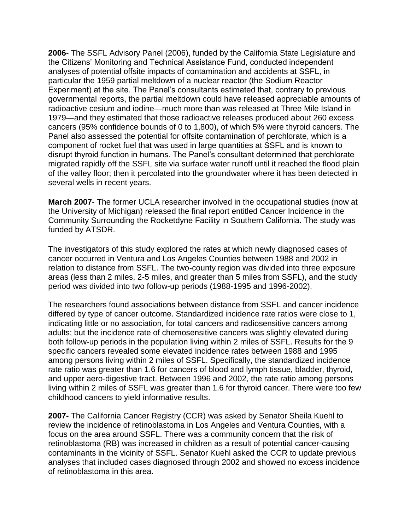**2006**- The SSFL Advisory Panel (2006), funded by the California State Legislature and the Citizens' Monitoring and Technical Assistance Fund, conducted independent analyses of potential offsite impacts of contamination and accidents at SSFL, in particular the 1959 partial meltdown of a nuclear reactor (the Sodium Reactor Experiment) at the site. The Panel's consultants estimated that, contrary to previous governmental reports, the partial meltdown could have released appreciable amounts of radioactive cesium and iodine—much more than was released at Three Mile Island in 1979—and they estimated that those radioactive releases produced about 260 excess cancers (95% confidence bounds of 0 to 1,800), of which 5% were thyroid cancers. The Panel also assessed the potential for offsite contamination of perchlorate, which is a component of rocket fuel that was used in large quantities at SSFL and is known to disrupt thyroid function in humans. The Panel's consultant determined that perchlorate migrated rapidly off the SSFL site via surface water runoff until it reached the flood plain of the valley floor; then it percolated into the groundwater where it has been detected in several wells in recent years.

**March 2007**- The former UCLA researcher involved in the occupational studies (now at the University of Michigan) released the final report entitled Cancer Incidence in the Community Surrounding the Rocketdyne Facility in Southern California. The study was funded by ATSDR.

The investigators of this study explored the rates at which newly diagnosed cases of cancer occurred in Ventura and Los Angeles Counties between 1988 and 2002 in relation to distance from SSFL. The two-county region was divided into three exposure areas (less than 2 miles, 2-5 miles, and greater than 5 miles from SSFL), and the study period was divided into two follow-up periods (1988-1995 and 1996-2002).

The researchers found associations between distance from SSFL and cancer incidence differed by type of cancer outcome. Standardized incidence rate ratios were close to 1, indicating little or no association, for total cancers and radiosensitive cancers among adults; but the incidence rate of chemosensitive cancers was slightly elevated during both follow-up periods in the population living within 2 miles of SSFL. Results for the 9 specific cancers revealed some elevated incidence rates between 1988 and 1995 among persons living within 2 miles of SSFL. Specifically, the standardized incidence rate ratio was greater than 1.6 for cancers of blood and lymph tissue, bladder, thyroid, and upper aero-digestive tract. Between 1996 and 2002, the rate ratio among persons living within 2 miles of SSFL was greater than 1.6 for thyroid cancer. There were too few childhood cancers to yield informative results.

**2007-** The California Cancer Registry (CCR) was asked by Senator Sheila Kuehl to review the incidence of retinoblastoma in Los Angeles and Ventura Counties, with a focus on the area around SSFL. There was a community concern that the risk of retinoblastoma (RB) was increased in children as a result of potential cancer-causing contaminants in the vicinity of SSFL. Senator Kuehl asked the CCR to update previous analyses that included cases diagnosed through 2002 and showed no excess incidence of retinoblastoma in this area.